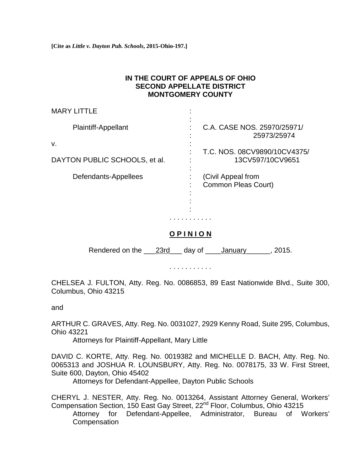**[Cite as** *Little v. Dayton Pub. Schools***, 2015-Ohio-197.]**

## **IN THE COURT OF APPEALS OF OHIO SECOND APPELLATE DISTRICT MONTGOMERY COUNTY**

| MARY LITTLE                         |                                                  |
|-------------------------------------|--------------------------------------------------|
| <b>Plaintiff-Appellant</b>          | C.A. CASE NOS. 25970/25971/<br>25973/25974       |
| v.<br>DAYTON PUBLIC SCHOOLS, et al. | T.C. NOS. 08CV9890/10CV4375/<br>13CV597/10CV9651 |
| Defendants-Appellees                | (Civil Appeal from<br>Common Pleas Court)        |

## **O P I N I O N**

. . . . . . . . . . .

Rendered on the <u>23rd</u> day of January 2015.

. . . . . . . . . . .

CHELSEA J. FULTON, Atty. Reg. No. 0086853, 89 East Nationwide Blvd., Suite 300, Columbus, Ohio 43215

and

ARTHUR C. GRAVES, Atty. Reg. No. 0031027, 2929 Kenny Road, Suite 295, Columbus, Ohio 43221

Attorneys for Plaintiff-Appellant, Mary Little

DAVID C. KORTE, Atty. Reg. No. 0019382 and MICHELLE D. BACH, Atty. Reg. No. 0065313 and JOSHUA R. LOUNSBURY, Atty. Reg. No. 0078175, 33 W. First Street, Suite 600, Dayton, Ohio 45402

Attorneys for Defendant-Appellee, Dayton Public Schools

CHERYL J. NESTER, Atty. Reg. No. 0013264, Assistant Attorney General, Workers' Compensation Section, 150 East Gay Street, 22nd Floor, Columbus, Ohio 43215 Attorney for Defendant-Appellee, Administrator, Bureau of Workers' **Compensation**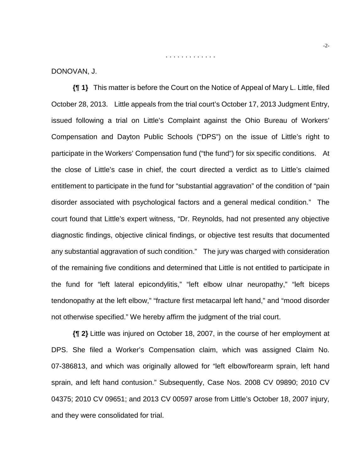DONOVAN, J.

**{¶ 1}** This matter is before the Court on the Notice of Appeal of Mary L. Little, filed October 28, 2013. Little appeals from the trial court's October 17, 2013 Judgment Entry, issued following a trial on Little's Complaint against the Ohio Bureau of Workers' Compensation and Dayton Public Schools ("DPS") on the issue of Little's right to participate in the Workers' Compensation fund ("the fund") for six specific conditions. At the close of Little's case in chief, the court directed a verdict as to Little's claimed entitlement to participate in the fund for "substantial aggravation" of the condition of "pain disorder associated with psychological factors and a general medical condition." The court found that Little's expert witness, "Dr. Reynolds, had not presented any objective diagnostic findings, objective clinical findings, or objective test results that documented any substantial aggravation of such condition." The jury was charged with consideration of the remaining five conditions and determined that Little is not entitled to participate in the fund for "left lateral epicondylitis," "left elbow ulnar neuropathy," "left biceps tendonopathy at the left elbow," "fracture first metacarpal left hand," and "mood disorder not otherwise specified." We hereby affirm the judgment of the trial court.

. . . . . . . . . . . . .

**{¶ 2}** Little was injured on October 18, 2007, in the course of her employment at DPS. She filed a Worker's Compensation claim, which was assigned Claim No. 07-386813, and which was originally allowed for "left elbow/forearm sprain, left hand sprain, and left hand contusion." Subsequently, Case Nos. 2008 CV 09890; 2010 CV 04375; 2010 CV 09651; and 2013 CV 00597 arose from Little's October 18, 2007 injury, and they were consolidated for trial.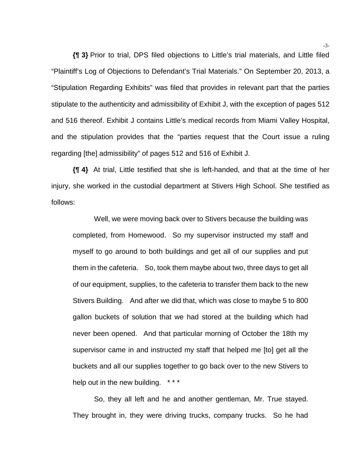**{¶ 3}** Prior to trial, DPS filed objections to Little's trial materials, and Little filed "Plaintiff's Log of Objections to Defendant's Trial Materials." On September 20, 2013, a "Stipulation Regarding Exhibits" was filed that provides in relevant part that the parties stipulate to the authenticity and admissibility of Exhibit J, with the exception of pages 512 and 516 thereof. Exhibit J contains Little's medical records from Miami Valley Hospital, and the stipulation provides that the "parties request that the Court issue a ruling regarding [the] admissibility" of pages 512 and 516 of Exhibit J.

**{¶ 4}** At trial, Little testified that she is left-handed, and that at the time of her injury, she worked in the custodial department at Stivers High School. She testified as follows:

Well, we were moving back over to Stivers because the building was completed, from Homewood. So my supervisor instructed my staff and myself to go around to both buildings and get all of our supplies and put them in the cafeteria. So, took them maybe about two, three days to get all of our equipment, supplies, to the cafeteria to transfer them back to the new Stivers Building. And after we did that, which was close to maybe 5 to 800 gallon buckets of solution that we had stored at the building which had never been opened. And that particular morning of October the 18th my supervisor came in and instructed my staff that helped me [to] get all the buckets and all our supplies together to go back over to the new Stivers to help out in the new building. \*\*\*

 So, they all left and he and another gentleman, Mr. True stayed. They brought in, they were driving trucks, company trucks. So he had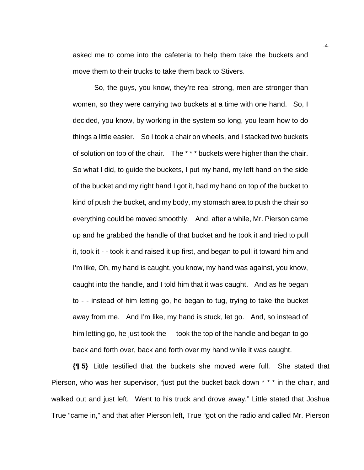asked me to come into the cafeteria to help them take the buckets and move them to their trucks to take them back to Stivers.

 So, the guys, you know, they're real strong, men are stronger than women, so they were carrying two buckets at a time with one hand. So, I decided, you know, by working in the system so long, you learn how to do things a little easier. So I took a chair on wheels, and I stacked two buckets of solution on top of the chair. The \* \* \* buckets were higher than the chair. So what I did, to guide the buckets, I put my hand, my left hand on the side of the bucket and my right hand I got it, had my hand on top of the bucket to kind of push the bucket, and my body, my stomach area to push the chair so everything could be moved smoothly. And, after a while, Mr. Pierson came up and he grabbed the handle of that bucket and he took it and tried to pull it, took it - - took it and raised it up first, and began to pull it toward him and I'm like, Oh, my hand is caught, you know, my hand was against, you know, caught into the handle, and I told him that it was caught. And as he began to - - instead of him letting go, he began to tug, trying to take the bucket away from me. And I'm like, my hand is stuck, let go. And, so instead of him letting go, he just took the - - took the top of the handle and began to go back and forth over, back and forth over my hand while it was caught.

**{¶ 5}** Little testified that the buckets she moved were full. She stated that Pierson, who was her supervisor, "just put the bucket back down \* \* \* in the chair, and walked out and just left. Went to his truck and drove away." Little stated that Joshua True "came in," and that after Pierson left, True "got on the radio and called Mr. Pierson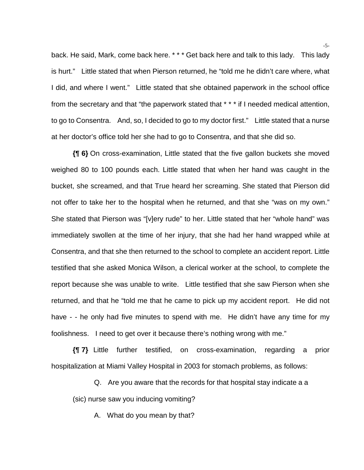back. He said, Mark, come back here. \* \* \* Get back here and talk to this lady. This lady is hurt." Little stated that when Pierson returned, he "told me he didn't care where, what I did, and where I went." Little stated that she obtained paperwork in the school office from the secretary and that "the paperwork stated that \* \* \* if I needed medical attention, to go to Consentra. And, so, I decided to go to my doctor first." Little stated that a nurse at her doctor's office told her she had to go to Consentra, and that she did so.

**{¶ 6}** On cross-examination, Little stated that the five gallon buckets she moved weighed 80 to 100 pounds each. Little stated that when her hand was caught in the bucket, she screamed, and that True heard her screaming. She stated that Pierson did not offer to take her to the hospital when he returned, and that she "was on my own." She stated that Pierson was "[v]ery rude" to her. Little stated that her "whole hand" was immediately swollen at the time of her injury, that she had her hand wrapped while at Consentra, and that she then returned to the school to complete an accident report. Little testified that she asked Monica Wilson, a clerical worker at the school, to complete the report because she was unable to write. Little testified that she saw Pierson when she returned, and that he "told me that he came to pick up my accident report. He did not have - - he only had five minutes to spend with me. He didn't have any time for my foolishness. I need to get over it because there's nothing wrong with me."

**{¶ 7}** Little further testified, on cross-examination, regarding a prior hospitalization at Miami Valley Hospital in 2003 for stomach problems, as follows:

Q. Are you aware that the records for that hospital stay indicate a a

(sic) nurse saw you inducing vomiting?

A. What do you mean by that?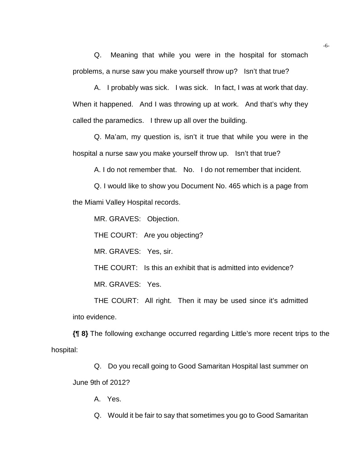Q. Meaning that while you were in the hospital for stomach problems, a nurse saw you make yourself throw up? Isn't that true?

A. I probably was sick. I was sick. In fact, I was at work that day. When it happened. And I was throwing up at work. And that's why they called the paramedics. I threw up all over the building.

Q. Ma'am, my question is, isn't it true that while you were in the hospital a nurse saw you make yourself throw up. Isn't that true?

A. I do not remember that. No. I do not remember that incident.

Q. I would like to show you Document No. 465 which is a page from the Miami Valley Hospital records.

MR. GRAVES: Objection.

THE COURT: Are you objecting?

MR. GRAVES: Yes, sir.

THE COURT: Is this an exhibit that is admitted into evidence?

MR. GRAVES: Yes.

THE COURT: All right. Then it may be used since it's admitted into evidence.

**{¶ 8}** The following exchange occurred regarding Little's more recent trips to the hospital:

Q. Do you recall going to Good Samaritan Hospital last summer on June 9th of 2012?

A. Yes.

Q. Would it be fair to say that sometimes you go to Good Samaritan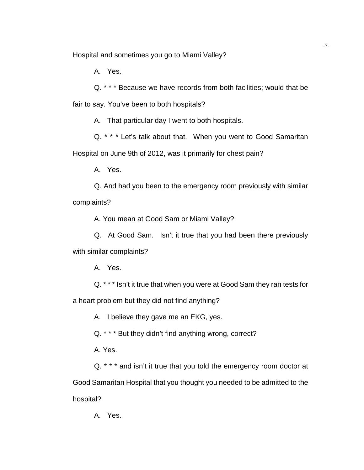Hospital and sometimes you go to Miami Valley?

A. Yes.

Q. \* \* \* Because we have records from both facilities; would that be fair to say. You've been to both hospitals?

A. That particular day I went to both hospitals.

Q. \* \* \* Let's talk about that. When you went to Good Samaritan Hospital on June 9th of 2012, was it primarily for chest pain?

A. Yes.

Q. And had you been to the emergency room previously with similar complaints?

A. You mean at Good Sam or Miami Valley?

Q. At Good Sam. Isn't it true that you had been there previously with similar complaints?

A. Yes.

Q. \* \* \* Isn't it true that when you were at Good Sam they ran tests for a heart problem but they did not find anything?

A. I believe they gave me an EKG, yes.

Q. \* \* \* But they didn't find anything wrong, correct?

A. Yes.

Q. \* \* \* and isn't it true that you told the emergency room doctor at Good Samaritan Hospital that you thought you needed to be admitted to the hospital?

A. Yes.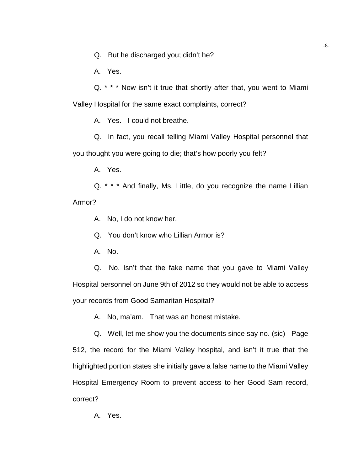Q. But he discharged you; didn't he?

A. Yes.

Q. \* \* \* Now isn't it true that shortly after that, you went to Miami Valley Hospital for the same exact complaints, correct?

A. Yes. I could not breathe.

Q. In fact, you recall telling Miami Valley Hospital personnel that you thought you were going to die; that's how poorly you felt?

A. Yes.

Q. \* \* \* And finally, Ms. Little, do you recognize the name Lillian Armor?

A. No, I do not know her.

Q. You don't know who Lillian Armor is?

A. No.

Q. No. Isn't that the fake name that you gave to Miami Valley Hospital personnel on June 9th of 2012 so they would not be able to access your records from Good Samaritan Hospital?

A. No, ma'am. That was an honest mistake.

Q. Well, let me show you the documents since say no. (sic) Page 512, the record for the Miami Valley hospital, and isn't it true that the highlighted portion states she initially gave a false name to the Miami Valley Hospital Emergency Room to prevent access to her Good Sam record, correct?

A. Yes.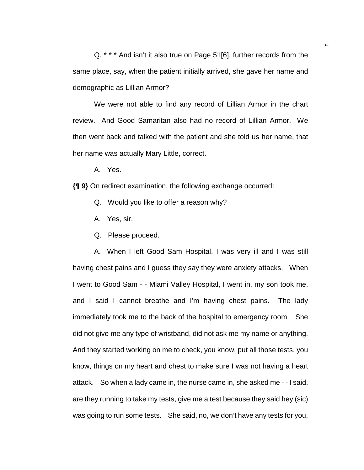Q. \* \* \* And isn't it also true on Page 51[6], further records from the same place, say, when the patient initially arrived, she gave her name and demographic as Lillian Armor?

We were not able to find any record of Lillian Armor in the chart review. And Good Samaritan also had no record of Lillian Armor. We then went back and talked with the patient and she told us her name, that her name was actually Mary Little, correct.

A. Yes.

**{¶ 9}** On redirect examination, the following exchange occurred:

- Q. Would you like to offer a reason why?
- A. Yes, sir.
- Q. Please proceed.

A. When I left Good Sam Hospital, I was very ill and I was still having chest pains and I guess they say they were anxiety attacks. When I went to Good Sam - - Miami Valley Hospital, I went in, my son took me, and I said I cannot breathe and I'm having chest pains. The lady immediately took me to the back of the hospital to emergency room. She did not give me any type of wristband, did not ask me my name or anything. And they started working on me to check, you know, put all those tests, you know, things on my heart and chest to make sure I was not having a heart attack. So when a lady came in, the nurse came in, she asked me - - I said, are they running to take my tests, give me a test because they said hey (sic) was going to run some tests. She said, no, we don't have any tests for you,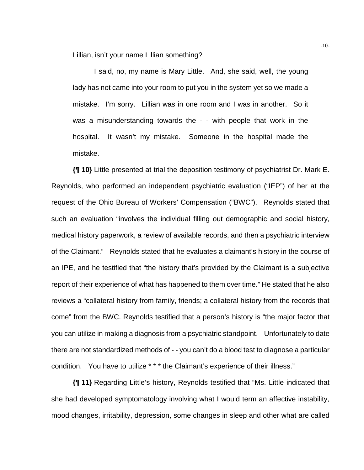Lillian, isn't your name Lillian something?

I said, no, my name is Mary Little. And, she said, well, the young lady has not came into your room to put you in the system yet so we made a mistake. I'm sorry. Lillian was in one room and I was in another. So it was a misunderstanding towards the - - with people that work in the hospital. It wasn't my mistake. Someone in the hospital made the mistake.

**{¶ 10}** Little presented at trial the deposition testimony of psychiatrist Dr. Mark E. Reynolds, who performed an independent psychiatric evaluation ("IEP") of her at the request of the Ohio Bureau of Workers' Compensation ("BWC"). Reynolds stated that such an evaluation "involves the individual filling out demographic and social history, medical history paperwork, a review of available records, and then a psychiatric interview of the Claimant." Reynolds stated that he evaluates a claimant's history in the course of an IPE, and he testified that "the history that's provided by the Claimant is a subjective report of their experience of what has happened to them over time." He stated that he also reviews a "collateral history from family, friends; a collateral history from the records that come" from the BWC. Reynolds testified that a person's history is "the major factor that you can utilize in making a diagnosis from a psychiatric standpoint. Unfortunately to date there are not standardized methods of - - you can't do a blood test to diagnose a particular condition. You have to utilize \* \* \* the Claimant's experience of their illness."

**{¶ 11}** Regarding Little's history, Reynolds testified that "Ms. Little indicated that she had developed symptomatology involving what I would term an affective instability, mood changes, irritability, depression, some changes in sleep and other what are called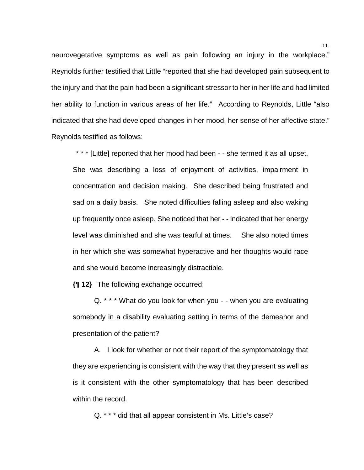neurovegetative symptoms as well as pain following an injury in the workplace." Reynolds further testified that Little "reported that she had developed pain subsequent to the injury and that the pain had been a significant stressor to her in her life and had limited her ability to function in various areas of her life." According to Reynolds, Little "also indicated that she had developed changes in her mood, her sense of her affective state." Reynolds testified as follows:

\* \* \* [Little] reported that her mood had been - - she termed it as all upset. She was describing a loss of enjoyment of activities, impairment in concentration and decision making. She described being frustrated and sad on a daily basis. She noted difficulties falling asleep and also waking up frequently once asleep. She noticed that her - - indicated that her energy level was diminished and she was tearful at times. She also noted times in her which she was somewhat hyperactive and her thoughts would race and she would become increasingly distractible.

**{¶ 12}** The following exchange occurred:

Q. \* \* \* What do you look for when you - - when you are evaluating somebody in a disability evaluating setting in terms of the demeanor and presentation of the patient?

A. I look for whether or not their report of the symptomatology that they are experiencing is consistent with the way that they present as well as is it consistent with the other symptomatology that has been described within the record.

Q. \* \* \* did that all appear consistent in Ms. Little's case?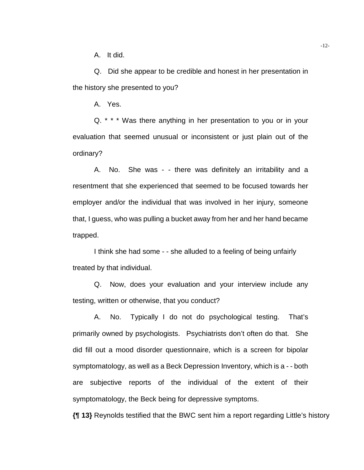A. It did.

Q. Did she appear to be credible and honest in her presentation in the history she presented to you?

A. Yes.

Q. \* \* \* Was there anything in her presentation to you or in your evaluation that seemed unusual or inconsistent or just plain out of the ordinary?

A. No. She was - - there was definitely an irritability and a resentment that she experienced that seemed to be focused towards her employer and/or the individual that was involved in her injury, someone that, I guess, who was pulling a bucket away from her and her hand became trapped.

I think she had some - - she alluded to a feeling of being unfairly treated by that individual.

Q. Now, does your evaluation and your interview include any testing, written or otherwise, that you conduct?

A. No. Typically I do not do psychological testing. That's primarily owned by psychologists. Psychiatrists don't often do that. She did fill out a mood disorder questionnaire, which is a screen for bipolar symptomatology, as well as a Beck Depression Inventory, which is a - - both are subjective reports of the individual of the extent of their symptomatology, the Beck being for depressive symptoms.

**{¶ 13}** Reynolds testified that the BWC sent him a report regarding Little's history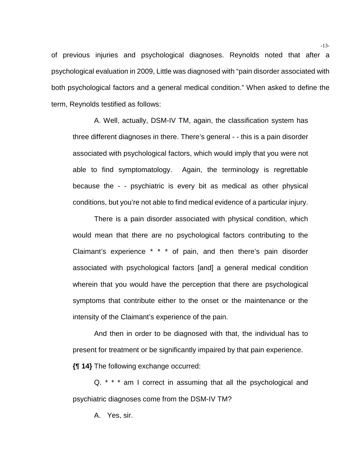of previous injuries and psychological diagnoses. Reynolds noted that after a psychological evaluation in 2009, Little was diagnosed with "pain disorder associated with both psychological factors and a general medical condition." When asked to define the term, Reynolds testified as follows:

A. Well, actually, DSM-IV TM, again, the classification system has three different diagnoses in there. There's general - - this is a pain disorder associated with psychological factors, which would imply that you were not able to find symptomatology. Again, the terminology is regrettable because the - - psychiatric is every bit as medical as other physical conditions, but you're not able to find medical evidence of a particular injury.

 There is a pain disorder associated with physical condition, which would mean that there are no psychological factors contributing to the Claimant's experience \* \* \* of pain, and then there's pain disorder associated with psychological factors [and] a general medical condition wherein that you would have the perception that there are psychological symptoms that contribute either to the onset or the maintenance or the intensity of the Claimant's experience of the pain.

 And then in order to be diagnosed with that, the individual has to present for treatment or be significantly impaired by that pain experience.

**{¶ 14}** The following exchange occurred:

Q. \* \* \* am I correct in assuming that all the psychological and psychiatric diagnoses come from the DSM-IV TM?

A. Yes, sir.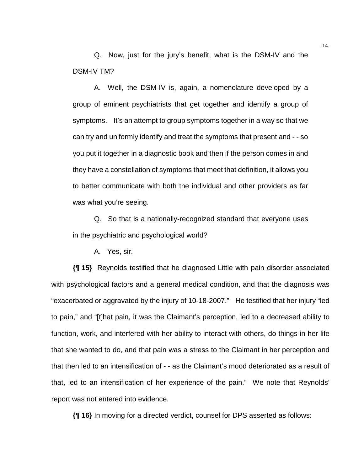Q. Now, just for the jury's benefit, what is the DSM-IV and the DSM-IV TM?

A. Well, the DSM-IV is, again, a nomenclature developed by a group of eminent psychiatrists that get together and identify a group of symptoms. It's an attempt to group symptoms together in a way so that we can try and uniformly identify and treat the symptoms that present and - - so you put it together in a diagnostic book and then if the person comes in and they have a constellation of symptoms that meet that definition, it allows you to better communicate with both the individual and other providers as far was what you're seeing.

Q. So that is a nationally-recognized standard that everyone uses in the psychiatric and psychological world?

A. Yes, sir.

**{¶ 15}** Reynolds testified that he diagnosed Little with pain disorder associated with psychological factors and a general medical condition, and that the diagnosis was "exacerbated or aggravated by the injury of 10-18-2007." He testified that her injury "led to pain," and "[t]hat pain, it was the Claimant's perception, led to a decreased ability to function, work, and interfered with her ability to interact with others, do things in her life that she wanted to do, and that pain was a stress to the Claimant in her perception and that then led to an intensification of - - as the Claimant's mood deteriorated as a result of that, led to an intensification of her experience of the pain." We note that Reynolds' report was not entered into evidence.

**{¶ 16}** In moving for a directed verdict, counsel for DPS asserted as follows: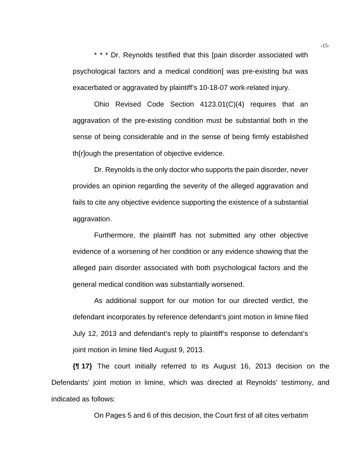\* \* \* Dr. Reynolds testified that this [pain disorder associated with psychological factors and a medical condition] was pre-existing but was exacerbated or aggravated by plaintiff's 10-18-07 work-related injury.

 Ohio Revised Code Section 4123.01(C)(4) requires that an aggravation of the pre-existing condition must be substantial both in the sense of being considerable and in the sense of being firmly established th[r]ough the presentation of objective evidence.

 Dr. Reynolds is the only doctor who supports the pain disorder, never provides an opinion regarding the severity of the alleged aggravation and fails to cite any objective evidence supporting the existence of a substantial aggravation.

 Furthermore, the plaintiff has not submitted any other objective evidence of a worsening of her condition or any evidence showing that the alleged pain disorder associated with both psychological factors and the general medical condition was substantially worsened.

 As additional support for our motion for our directed verdict, the defendant incorporates by reference defendant's joint motion in limine filed July 12, 2013 and defendant's reply to plaintiff's response to defendant's joint motion in limine filed August 9, 2013.

**{¶ 17}** The court initially referred to its August 16, 2013 decision on the Defendants' joint motion in limine, which was directed at Reynolds' testimony, and indicated as follows:

On Pages 5 and 6 of this decision, the Court first of all cites verbatim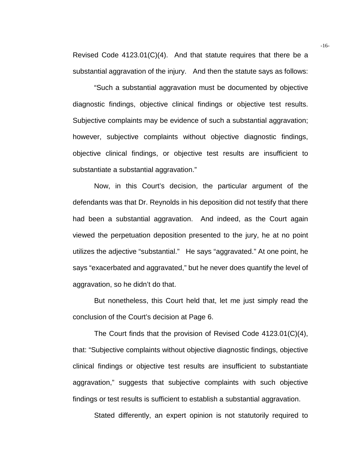Revised Code 4123.01(C)(4). And that statute requires that there be a substantial aggravation of the injury. And then the statute says as follows:

 "Such a substantial aggravation must be documented by objective diagnostic findings, objective clinical findings or objective test results. Subjective complaints may be evidence of such a substantial aggravation; however, subjective complaints without objective diagnostic findings, objective clinical findings, or objective test results are insufficient to substantiate a substantial aggravation."

Now, in this Court's decision, the particular argument of the defendants was that Dr. Reynolds in his deposition did not testify that there had been a substantial aggravation. And indeed, as the Court again viewed the perpetuation deposition presented to the jury, he at no point utilizes the adjective "substantial." He says "aggravated." At one point, he says "exacerbated and aggravated," but he never does quantify the level of aggravation, so he didn't do that.

 But nonetheless, this Court held that, let me just simply read the conclusion of the Court's decision at Page 6.

 The Court finds that the provision of Revised Code 4123.01(C)(4), that: "Subjective complaints without objective diagnostic findings, objective clinical findings or objective test results are insufficient to substantiate aggravation," suggests that subjective complaints with such objective findings or test results is sufficient to establish a substantial aggravation.

Stated differently, an expert opinion is not statutorily required to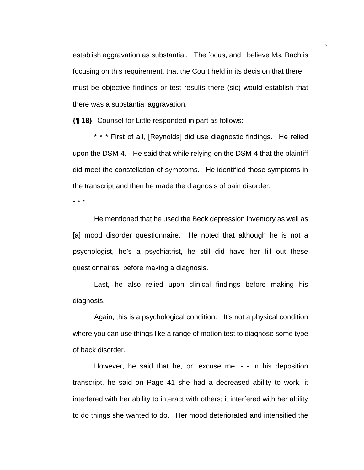establish aggravation as substantial. The focus, and I believe Ms. Bach is focusing on this requirement, that the Court held in its decision that there must be objective findings or test results there (sic) would establish that there was a substantial aggravation.

**{¶ 18}** Counsel for Little responded in part as follows:

\* \* \* First of all, [Reynolds] did use diagnostic findings. He relied upon the DSM-4. He said that while relying on the DSM-4 that the plaintiff did meet the constellation of symptoms. He identified those symptoms in the transcript and then he made the diagnosis of pain disorder.

\* \* \*

He mentioned that he used the Beck depression inventory as well as [a] mood disorder questionnaire. He noted that although he is not a psychologist, he's a psychiatrist, he still did have her fill out these questionnaires, before making a diagnosis.

Last, he also relied upon clinical findings before making his diagnosis.

Again, this is a psychological condition. It's not a physical condition where you can use things like a range of motion test to diagnose some type of back disorder.

However, he said that he, or, excuse me, - - in his deposition transcript, he said on Page 41 she had a decreased ability to work, it interfered with her ability to interact with others; it interfered with her ability to do things she wanted to do. Her mood deteriorated and intensified the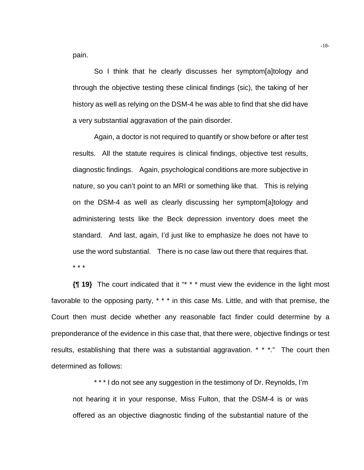pain.

So I think that he clearly discusses her symptom[a]tology and through the objective testing these clinical findings (sic), the taking of her history as well as relying on the DSM-4 he was able to find that she did have a very substantial aggravation of the pain disorder.

Again, a doctor is not required to quantify or show before or after test results. All the statute requires is clinical findings, objective test results, diagnostic findings. Again, psychological conditions are more subjective in nature, so you can't point to an MRI or something like that. This is relying on the DSM-4 as well as clearly discussing her symptom[a]tology and administering tests like the Beck depression inventory does meet the standard. And last, again, I'd just like to emphasize he does not have to use the word substantial. There is no case law out there that requires that. \* \* \*

**{¶ 19}** The court indicated that it "\* \* \* must view the evidence in the light most favorable to the opposing party, \* \* \* in this case Ms. Little, and with that premise, the Court then must decide whether any reasonable fact finder could determine by a preponderance of the evidence in this case that, that there were, objective findings or test results, establishing that there was a substantial aggravation. \* \* \*." The court then determined as follows:

\* \* \* I do not see any suggestion in the testimony of Dr. Reynolds, I'm not hearing it in your response, Miss Fulton, that the DSM-4 is or was offered as an objective diagnostic finding of the substantial nature of the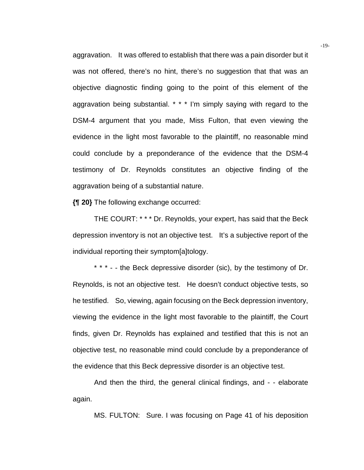aggravation. It was offered to establish that there was a pain disorder but it was not offered, there's no hint, there's no suggestion that that was an objective diagnostic finding going to the point of this element of the aggravation being substantial. \* \* \* I'm simply saying with regard to the DSM-4 argument that you made, Miss Fulton, that even viewing the evidence in the light most favorable to the plaintiff, no reasonable mind could conclude by a preponderance of the evidence that the DSM-4 testimony of Dr. Reynolds constitutes an objective finding of the aggravation being of a substantial nature.

**{¶ 20}** The following exchange occurred:

THE COURT: \* \* \* Dr. Reynolds, your expert, has said that the Beck depression inventory is not an objective test. It's a subjective report of the individual reporting their symptom[a]tology.

\* \* \* - - the Beck depressive disorder (sic), by the testimony of Dr. Reynolds, is not an objective test. He doesn't conduct objective tests, so he testified. So, viewing, again focusing on the Beck depression inventory, viewing the evidence in the light most favorable to the plaintiff, the Court finds, given Dr. Reynolds has explained and testified that this is not an objective test, no reasonable mind could conclude by a preponderance of the evidence that this Beck depressive disorder is an objective test.

And then the third, the general clinical findings, and - - elaborate again.

MS. FULTON: Sure. I was focusing on Page 41 of his deposition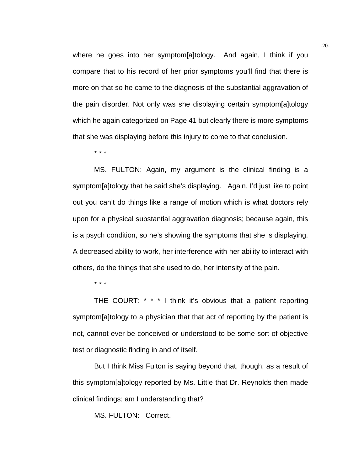where he goes into her symptom[a]tology. And again, I think if you compare that to his record of her prior symptoms you'll find that there is more on that so he came to the diagnosis of the substantial aggravation of the pain disorder. Not only was she displaying certain symptom[a]tology which he again categorized on Page 41 but clearly there is more symptoms that she was displaying before this injury to come to that conclusion.

\* \* \*

MS. FULTON: Again, my argument is the clinical finding is a symptom[a]tology that he said she's displaying. Again, I'd just like to point out you can't do things like a range of motion which is what doctors rely upon for a physical substantial aggravation diagnosis; because again, this is a psych condition, so he's showing the symptoms that she is displaying. A decreased ability to work, her interference with her ability to interact with others, do the things that she used to do, her intensity of the pain.

\* \* \*

THE COURT: \* \* \* I think it's obvious that a patient reporting symptom[a]tology to a physician that that act of reporting by the patient is not, cannot ever be conceived or understood to be some sort of objective test or diagnostic finding in and of itself.

 But I think Miss Fulton is saying beyond that, though, as a result of this symptom[a]tology reported by Ms. Little that Dr. Reynolds then made clinical findings; am I understanding that?

MS. FULTON: Correct.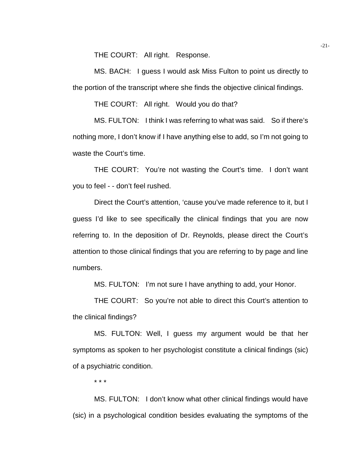THE COURT: All right. Response.

 MS. BACH: I guess I would ask Miss Fulton to point us directly to the portion of the transcript where she finds the objective clinical findings.

THE COURT: All right. Would you do that?

MS. FULTON: I think I was referring to what was said. So if there's nothing more, I don't know if I have anything else to add, so I'm not going to waste the Court's time.

 THE COURT: You're not wasting the Court's time. I don't want you to feel - - don't feel rushed.

 Direct the Court's attention, 'cause you've made reference to it, but I guess I'd like to see specifically the clinical findings that you are now referring to. In the deposition of Dr. Reynolds, please direct the Court's attention to those clinical findings that you are referring to by page and line numbers.

MS. FULTON: I'm not sure I have anything to add, your Honor.

 THE COURT: So you're not able to direct this Court's attention to the clinical findings?

 MS. FULTON: Well, I guess my argument would be that her symptoms as spoken to her psychologist constitute a clinical findings (sic) of a psychiatric condition.

\* \* \*

 MS. FULTON: I don't know what other clinical findings would have (sic) in a psychological condition besides evaluating the symptoms of the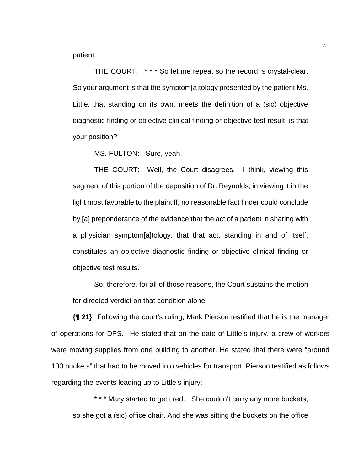patient.

THE COURT: \*\*\* So let me repeat so the record is crystal-clear. So your argument is that the symptom[a]tology presented by the patient Ms. Little, that standing on its own, meets the definition of a (sic) objective diagnostic finding or objective clinical finding or objective test result; is that your position?

MS. FULTON: Sure, yeah.

 THE COURT: Well, the Court disagrees. I think, viewing this segment of this portion of the deposition of Dr. Reynolds, in viewing it in the light most favorable to the plaintiff, no reasonable fact finder could conclude by [a] preponderance of the evidence that the act of a patient in sharing with a physician symptom[a]tology, that that act, standing in and of itself, constitutes an objective diagnostic finding or objective clinical finding or objective test results.

 So, therefore, for all of those reasons, the Court sustains the motion for directed verdict on that condition alone.

**{¶ 21}** Following the court's ruling, Mark Pierson testified that he is the manager of operations for DPS. He stated that on the date of Little's injury, a crew of workers were moving supplies from one building to another. He stated that there were "around 100 buckets" that had to be moved into vehicles for transport. Pierson testified as follows regarding the events leading up to Little's injury:

\* \* \* Mary started to get tired. She couldn't carry any more buckets, so she got a (sic) office chair. And she was sitting the buckets on the office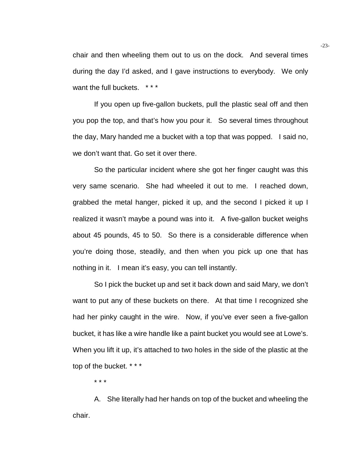chair and then wheeling them out to us on the dock. And several times during the day I'd asked, and I gave instructions to everybody. We only want the full buckets. \*\*\*

 If you open up five-gallon buckets, pull the plastic seal off and then you pop the top, and that's how you pour it. So several times throughout the day, Mary handed me a bucket with a top that was popped. I said no, we don't want that. Go set it over there.

 So the particular incident where she got her finger caught was this very same scenario. She had wheeled it out to me. I reached down, grabbed the metal hanger, picked it up, and the second I picked it up I realized it wasn't maybe a pound was into it. A five-gallon bucket weighs about 45 pounds, 45 to 50. So there is a considerable difference when you're doing those, steadily, and then when you pick up one that has nothing in it. I mean it's easy, you can tell instantly.

 So I pick the bucket up and set it back down and said Mary, we don't want to put any of these buckets on there. At that time I recognized she had her pinky caught in the wire. Now, if you've ever seen a five-gallon bucket, it has like a wire handle like a paint bucket you would see at Lowe's. When you lift it up, it's attached to two holes in the side of the plastic at the top of the bucket. \* \* \*

\* \* \*

 A. She literally had her hands on top of the bucket and wheeling the chair.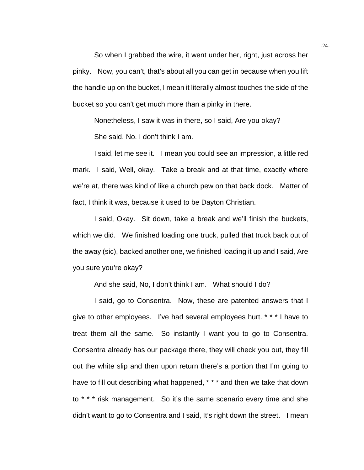So when I grabbed the wire, it went under her, right, just across her pinky. Now, you can't, that's about all you can get in because when you lift the handle up on the bucket, I mean it literally almost touches the side of the bucket so you can't get much more than a pinky in there.

 Nonetheless, I saw it was in there, so I said, Are you okay? She said, No. I don't think I am.

 I said, let me see it. I mean you could see an impression, a little red mark. I said, Well, okay. Take a break and at that time, exactly where we're at, there was kind of like a church pew on that back dock. Matter of fact, I think it was, because it used to be Dayton Christian.

 I said, Okay. Sit down, take a break and we'll finish the buckets, which we did. We finished loading one truck, pulled that truck back out of the away (sic), backed another one, we finished loading it up and I said, Are you sure you're okay?

And she said, No, I don't think I am. What should I do?

 I said, go to Consentra. Now, these are patented answers that I give to other employees. I've had several employees hurt. \* \* \* I have to treat them all the same. So instantly I want you to go to Consentra. Consentra already has our package there, they will check you out, they fill out the white slip and then upon return there's a portion that I'm going to have to fill out describing what happened, \* \* \* and then we take that down to \* \* \* risk management. So it's the same scenario every time and she didn't want to go to Consentra and I said, It's right down the street. I mean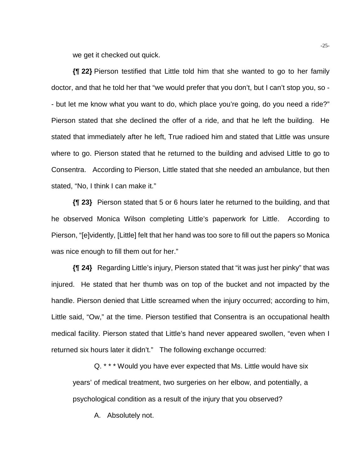we get it checked out quick.

**{¶ 22}** Pierson testified that Little told him that she wanted to go to her family doctor, and that he told her that "we would prefer that you don't, but I can't stop you, so - - but let me know what you want to do, which place you're going, do you need a ride?" Pierson stated that she declined the offer of a ride, and that he left the building. He stated that immediately after he left, True radioed him and stated that Little was unsure where to go. Pierson stated that he returned to the building and advised Little to go to Consentra. According to Pierson, Little stated that she needed an ambulance, but then stated, "No, I think I can make it."

**{¶ 23}** Pierson stated that 5 or 6 hours later he returned to the building, and that he observed Monica Wilson completing Little's paperwork for Little. According to Pierson, "[e]vidently, [Little] felt that her hand was too sore to fill out the papers so Monica was nice enough to fill them out for her."

**{¶ 24}** Regarding Little's injury, Pierson stated that "it was just her pinky" that was injured. He stated that her thumb was on top of the bucket and not impacted by the handle. Pierson denied that Little screamed when the injury occurred; according to him, Little said, "Ow," at the time. Pierson testified that Consentra is an occupational health medical facility. Pierson stated that Little's hand never appeared swollen, "even when I returned six hours later it didn't." The following exchange occurred:

Q. \* \* \* Would you have ever expected that Ms. Little would have six years' of medical treatment, two surgeries on her elbow, and potentially, a psychological condition as a result of the injury that you observed?

A. Absolutely not.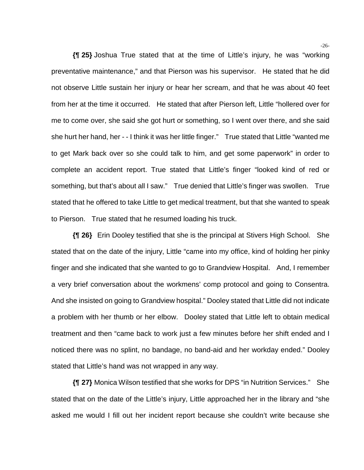**{¶ 25}** Joshua True stated that at the time of Little's injury, he was "working preventative maintenance," and that Pierson was his supervisor. He stated that he did not observe Little sustain her injury or hear her scream, and that he was about 40 feet from her at the time it occurred. He stated that after Pierson left, Little "hollered over for me to come over, she said she got hurt or something, so I went over there, and she said she hurt her hand, her - - I think it was her little finger." True stated that Little "wanted me to get Mark back over so she could talk to him, and get some paperwork" in order to complete an accident report. True stated that Little's finger "looked kind of red or something, but that's about all I saw." True denied that Little's finger was swollen. True stated that he offered to take Little to get medical treatment, but that she wanted to speak to Pierson. True stated that he resumed loading his truck.

**{¶ 26}** Erin Dooley testified that she is the principal at Stivers High School. She stated that on the date of the injury, Little "came into my office, kind of holding her pinky finger and she indicated that she wanted to go to Grandview Hospital. And, I remember a very brief conversation about the workmens' comp protocol and going to Consentra. And she insisted on going to Grandview hospital." Dooley stated that Little did not indicate a problem with her thumb or her elbow. Dooley stated that Little left to obtain medical treatment and then "came back to work just a few minutes before her shift ended and I noticed there was no splint, no bandage, no band-aid and her workday ended." Dooley stated that Little's hand was not wrapped in any way.

**{¶ 27}** Monica Wilson testified that she works for DPS "in Nutrition Services." She stated that on the date of the Little's injury, Little approached her in the library and "she asked me would I fill out her incident report because she couldn't write because she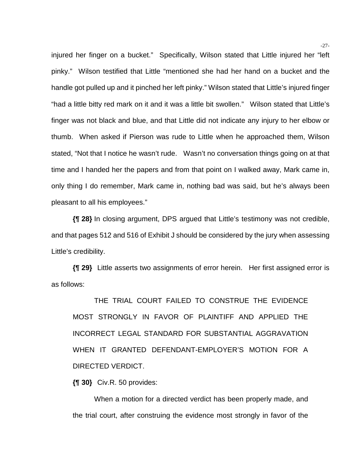injured her finger on a bucket." Specifically, Wilson stated that Little injured her "left pinky." Wilson testified that Little "mentioned she had her hand on a bucket and the handle got pulled up and it pinched her left pinky." Wilson stated that Little's injured finger "had a little bitty red mark on it and it was a little bit swollen." Wilson stated that Little's finger was not black and blue, and that Little did not indicate any injury to her elbow or thumb. When asked if Pierson was rude to Little when he approached them, Wilson stated, "Not that I notice he wasn't rude. Wasn't no conversation things going on at that time and I handed her the papers and from that point on I walked away, Mark came in, only thing I do remember, Mark came in, nothing bad was said, but he's always been pleasant to all his employees."

**{¶ 28}** In closing argument, DPS argued that Little's testimony was not credible, and that pages 512 and 516 of Exhibit J should be considered by the jury when assessing Little's credibility.

**{¶ 29}** Little asserts two assignments of error herein. Her first assigned error is as follows:

THE TRIAL COURT FAILED TO CONSTRUE THE EVIDENCE MOST STRONGLY IN FAVOR OF PLAINTIFF AND APPLIED THE INCORRECT LEGAL STANDARD FOR SUBSTANTIAL AGGRAVATION WHEN IT GRANTED DEFENDANT-EMPLOYER'S MOTION FOR A DIRECTED VERDICT.

**{¶ 30}** Civ.R. 50 provides:

When a motion for a directed verdict has been properly made, and the trial court, after construing the evidence most strongly in favor of the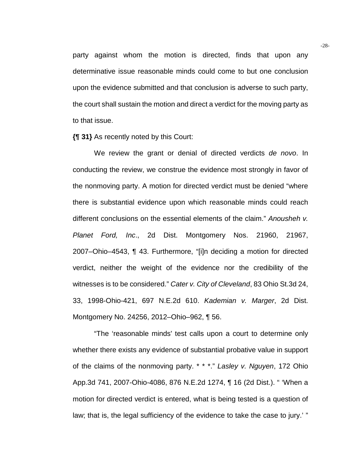party against whom the motion is directed, finds that upon any determinative issue reasonable minds could come to but one conclusion upon the evidence submitted and that conclusion is adverse to such party, the court shall sustain the motion and direct a verdict for the moving party as to that issue.

**{¶ 31}** As recently noted by this Court:

We review the grant or denial of directed verdicts *de novo*. In conducting the review, we construe the evidence most strongly in favor of the nonmoving party. A motion for directed verdict must be denied "where there is substantial evidence upon which reasonable minds could reach different conclusions on the essential elements of the claim." *Anousheh v. Planet Ford, Inc*., 2d Dist. Montgomery Nos. 21960, 21967, 2007–Ohio–4543, ¶ 43. Furthermore, "[i]n deciding a motion for directed verdict, neither the weight of the evidence nor the credibility of the witnesses is to be considered." *Cater v. City of Cleveland*, 83 Ohio St.3d 24, 33, 1998-Ohio-421, 697 N.E.2d 610. *Kademian v. Marger*, 2d Dist. Montgomery No. 24256, 2012–Ohio–962, ¶ 56.

"The 'reasonable minds' test calls upon a court to determine only whether there exists any evidence of substantial probative value in support of the claims of the nonmoving party. \* \* \*." *Lasley v. Nguyen*, 172 Ohio App.3d 741, 2007-Ohio-4086, 876 N.E.2d 1274, ¶ 16 (2d Dist.). " 'When a motion for directed verdict is entered, what is being tested is a question of law; that is, the legal sufficiency of the evidence to take the case to jury.' "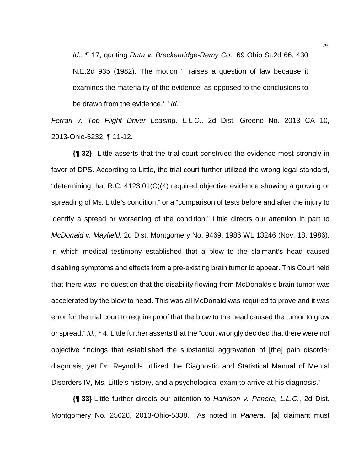*Id*., ¶ 17, quoting *Ruta v. Breckenridge-Remy Co*., 69 Ohio St.2d 66, 430 N.E.2d 935 (1982). The motion " 'raises a question of law because it examines the materiality of the evidence, as opposed to the conclusions to be drawn from the evidence.' " *Id*.

*Ferrari v. Top Flight Driver Leasing, L.L.C*., 2d Dist. Greene No. 2013 CA 10, 2013-Ohio-5232, ¶ 11-12.

**{¶ 32}** Little asserts that the trial court construed the evidence most strongly in favor of DPS. According to Little, the trial court further utilized the wrong legal standard, "determining that R.C. 4123.01(C)(4) required objective evidence showing a growing or spreading of Ms. Little's condition," or a "comparison of tests before and after the injury to identify a spread or worsening of the condition." Little directs our attention in part to *McDonald v. Mayfield*, 2d Dist. Montgomery No. 9469, 1986 WL 13246 (Nov. 18, 1986), in which medical testimony established that a blow to the claimant's head caused disabling symptoms and effects from a pre-existing brain tumor to appear. This Court held that there was "no question that the disability flowing from McDonalds's brain tumor was accelerated by the blow to head. This was all McDonald was required to prove and it was error for the trial court to require proof that the blow to the head caused the tumor to grow or spread." *Id.*, \* 4. Little further asserts that the "court wrongly decided that there were not objective findings that established the substantial aggravation of [the] pain disorder diagnosis, yet Dr. Reynolds utilized the Diagnostic and Statistical Manual of Mental Disorders IV, Ms. Little's history, and a psychological exam to arrive at his diagnosis."

**{¶ 33}** Little further directs our attention to *Harrison v. Panera, L.L.C.*, 2d Dist. Montgomery No. 25626, 2013-Ohio-5338. As noted in *Panera,* "[a] claimant must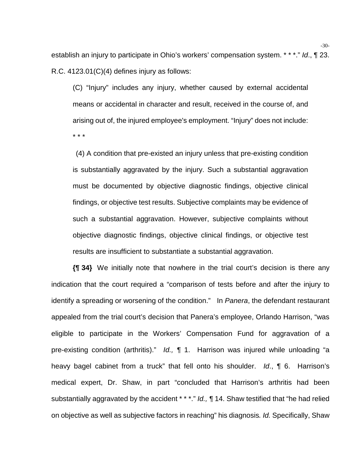establish an injury to participate in Ohio's workers' compensation system. \* \* \*." *Id*., ¶ 23. R.C. 4123.01(C)(4) defines injury as follows:

(C) "Injury" includes any injury, whether caused by external accidental means or accidental in character and result, received in the course of, and arising out of, the injured employee's employment. "Injury" does not include: \* \* \*

 (4) A condition that pre-existed an injury unless that pre-existing condition is substantially aggravated by the injury. Such a substantial aggravation must be documented by objective diagnostic findings, objective clinical findings, or objective test results. Subjective complaints may be evidence of such a substantial aggravation. However, subjective complaints without objective diagnostic findings, objective clinical findings, or objective test results are insufficient to substantiate a substantial aggravation.

**{¶ 34}** We initially note that nowhere in the trial court's decision is there any indication that the court required a "comparison of tests before and after the injury to identify a spreading or worsening of the condition." In *Panera*, the defendant restaurant appealed from the trial court's decision that Panera's employee, Orlando Harrison, "was eligible to participate in the Workers' Compensation Fund for aggravation of a pre-existing condition (arthritis)." *Id., ¶* 1. Harrison was injured while unloading "a heavy bagel cabinet from a truck" that fell onto his shoulder. *Id*., ¶ 6. Harrison's medical expert, Dr. Shaw, in part "concluded that Harrison's arthritis had been substantially aggravated by the accident \* \* \*." *Id., ¶* 14. Shaw testified that "he had relied on objective as well as subjective factors in reaching" his diagnosis*. Id.* Specifically, Shaw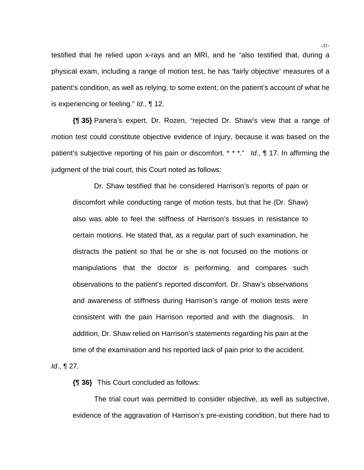testified that he relied upon x-rays and an MRI, and he "also testified that, during a physical exam, including a range of motion test, he has 'fairly objective' measures of a patient's condition, as well as relying, to some extent, on the patient's account of what he is experiencing or feeling." *Id*., ¶ 12.

**{¶ 35}** Panera's expert, Dr. Rozen, "rejected Dr. Shaw's view that a range of motion test could constitute objective evidence of injury, because it was based on the patient's subjective reporting of his pain or discomfort. \* \* \*." *Id*., ¶ 17. In affirming the judgment of the trial court, this Court noted as follows:

Dr. Shaw testified that he considered Harrison's reports of pain or discomfort while conducting range of motion tests, but that he (Dr. Shaw) also was able to feel the stiffness of Harrison's tissues in resistance to certain motions. He stated that, as a regular part of such examination, he distracts the patient so that he or she is not focused on the motions or manipulations that the doctor is performing, and compares such observations to the patient's reported discomfort. Dr. Shaw's observations and awareness of stiffness during Harrison's range of motion tests were consistent with the pain Harrison reported and with the diagnosis. In addition, Dr. Shaw relied on Harrison's statements regarding his pain at the time of the examination and his reported lack of pain prior to the accident.

*Id*., ¶ 27.

**{¶ 36}** This Court concluded as follows:

The trial court was permitted to consider objective, as well as subjective, evidence of the aggravation of Harrison's pre-existing condition, but there had to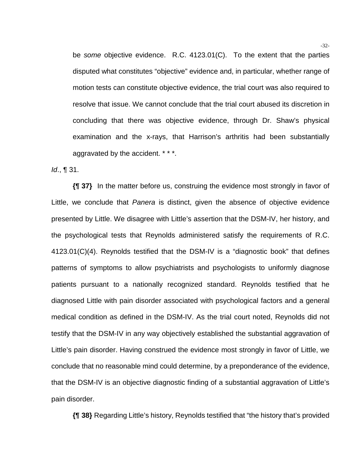be *some* objective evidence. R.C. 4123.01(C). To the extent that the parties disputed what constitutes "objective" evidence and, in particular, whether range of motion tests can constitute objective evidence, the trial court was also required to resolve that issue. We cannot conclude that the trial court abused its discretion in concluding that there was objective evidence, through Dr. Shaw's physical examination and the x-rays, that Harrison's arthritis had been substantially aggravated by the accident. \* \* \*.

*Id*., ¶ 31.

**{¶ 37}** In the matter before us, construing the evidence most strongly in favor of Little, we conclude that *Panera* is distinct, given the absence of objective evidence presented by Little. We disagree with Little's assertion that the DSM-IV, her history, and the psychological tests that Reynolds administered satisfy the requirements of R.C. 4123.01(C)(4). Reynolds testified that the DSM-IV is a "diagnostic book" that defines patterns of symptoms to allow psychiatrists and psychologists to uniformly diagnose patients pursuant to a nationally recognized standard. Reynolds testified that he diagnosed Little with pain disorder associated with psychological factors and a general medical condition as defined in the DSM-IV. As the trial court noted, Reynolds did not testify that the DSM-IV in any way objectively established the substantial aggravation of Little's pain disorder. Having construed the evidence most strongly in favor of Little, we conclude that no reasonable mind could determine, by a preponderance of the evidence, that the DSM-IV is an objective diagnostic finding of a substantial aggravation of Little's pain disorder.

**{¶ 38}** Regarding Little's history, Reynolds testified that "the history that's provided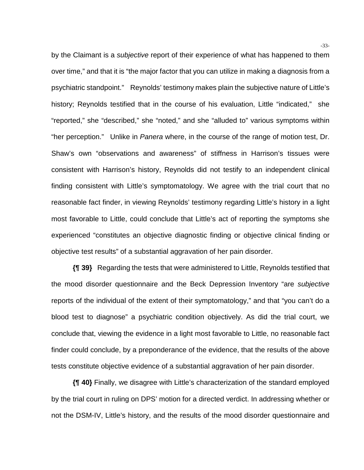by the Claimant is a *subjective* report of their experience of what has happened to them over time," and that it is "the major factor that you can utilize in making a diagnosis from a psychiatric standpoint." Reynolds' testimony makes plain the subjective nature of Little's history; Reynolds testified that in the course of his evaluation, Little "indicated," she "reported," she "described," she "noted," and she "alluded to" various symptoms within "her perception." Unlike in *Panera* where, in the course of the range of motion test, Dr. Shaw's own "observations and awareness" of stiffness in Harrison's tissues were consistent with Harrison's history, Reynolds did not testify to an independent clinical finding consistent with Little's symptomatology. We agree with the trial court that no reasonable fact finder, in viewing Reynolds' testimony regarding Little's history in a light most favorable to Little, could conclude that Little's act of reporting the symptoms she experienced "constitutes an objective diagnostic finding or objective clinical finding or objective test results" of a substantial aggravation of her pain disorder.

**{¶ 39}** Regarding the tests that were administered to Little, Reynolds testified that the mood disorder questionnaire and the Beck Depression Inventory "are *subjective*  reports of the individual of the extent of their symptomatology," and that "you can't do a blood test to diagnose" a psychiatric condition objectively. As did the trial court, we conclude that, viewing the evidence in a light most favorable to Little, no reasonable fact finder could conclude, by a preponderance of the evidence, that the results of the above tests constitute objective evidence of a substantial aggravation of her pain disorder.

**{¶ 40}** Finally, we disagree with Little's characterization of the standard employed by the trial court in ruling on DPS' motion for a directed verdict. In addressing whether or not the DSM-IV, Little's history, and the results of the mood disorder questionnaire and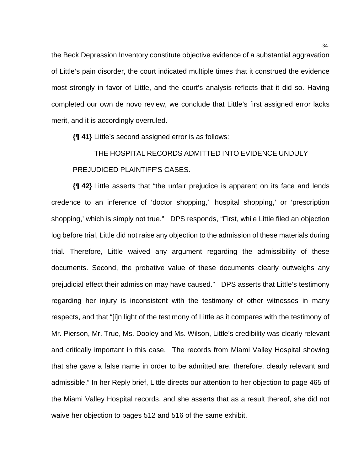the Beck Depression Inventory constitute objective evidence of a substantial aggravation of Little's pain disorder, the court indicated multiple times that it construed the evidence most strongly in favor of Little, and the court's analysis reflects that it did so. Having completed our own de novo review, we conclude that Little's first assigned error lacks merit, and it is accordingly overruled.

**{¶ 41}** Little's second assigned error is as follows:

## THE HOSPITAL RECORDS ADMITTED INTO EVIDENCE UNDULY PREJUDICED PLAINTIFF'S CASES.

**{¶ 42}** Little asserts that "the unfair prejudice is apparent on its face and lends credence to an inference of 'doctor shopping,' 'hospital shopping,' or 'prescription shopping,' which is simply not true." DPS responds, "First, while Little filed an objection log before trial, Little did not raise any objection to the admission of these materials during trial. Therefore, Little waived any argument regarding the admissibility of these documents. Second, the probative value of these documents clearly outweighs any prejudicial effect their admission may have caused." DPS asserts that Little's testimony regarding her injury is inconsistent with the testimony of other witnesses in many respects, and that "[i]n light of the testimony of Little as it compares with the testimony of Mr. Pierson, Mr. True, Ms. Dooley and Ms. Wilson, Little's credibility was clearly relevant and critically important in this case. The records from Miami Valley Hospital showing that she gave a false name in order to be admitted are, therefore, clearly relevant and admissible." In her Reply brief, Little directs our attention to her objection to page 465 of the Miami Valley Hospital records, and she asserts that as a result thereof, she did not waive her objection to pages 512 and 516 of the same exhibit.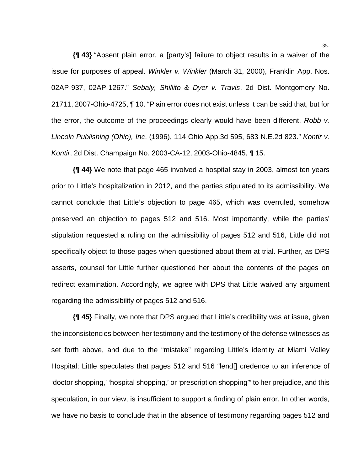**{¶ 43}** "Absent plain error, a [party's] failure to object results in a waiver of the issue for purposes of appeal. *Winkler v. Winkler* (March 31, 2000), Franklin App. Nos. 02AP-937, 02AP-1267." *Sebaly, Shillito & Dyer v. Travis*, 2d Dist. Montgomery No. 21711, 2007-Ohio-4725, ¶ 10. "Plain error does not exist unless it can be said that, but for the error, the outcome of the proceedings clearly would have been different. *Robb v. Lincoln Publishing (Ohio), Inc*. (1996), 114 Ohio App.3d 595, 683 N.E.2d 823." *Kontir v. Kontir*, 2d Dist. Champaign No. 2003-CA-12, 2003-Ohio-4845, ¶ 15.

**{¶ 44}** We note that page 465 involved a hospital stay in 2003, almost ten years prior to Little's hospitalization in 2012, and the parties stipulated to its admissibility. We cannot conclude that Little's objection to page 465, which was overruled, somehow preserved an objection to pages 512 and 516. Most importantly, while the parties' stipulation requested a ruling on the admissibility of pages 512 and 516, Little did not specifically object to those pages when questioned about them at trial. Further, as DPS asserts, counsel for Little further questioned her about the contents of the pages on redirect examination. Accordingly, we agree with DPS that Little waived any argument regarding the admissibility of pages 512 and 516.

**{¶ 45}** Finally, we note that DPS argued that Little's credibility was at issue, given the inconsistencies between her testimony and the testimony of the defense witnesses as set forth above, and due to the "mistake" regarding Little's identity at Miami Valley Hospital; Little speculates that pages 512 and 516 "lend[] credence to an inference of 'doctor shopping,' 'hospital shopping,' or 'prescription shopping'" to her prejudice, and this speculation, in our view, is insufficient to support a finding of plain error. In other words, we have no basis to conclude that in the absence of testimony regarding pages 512 and